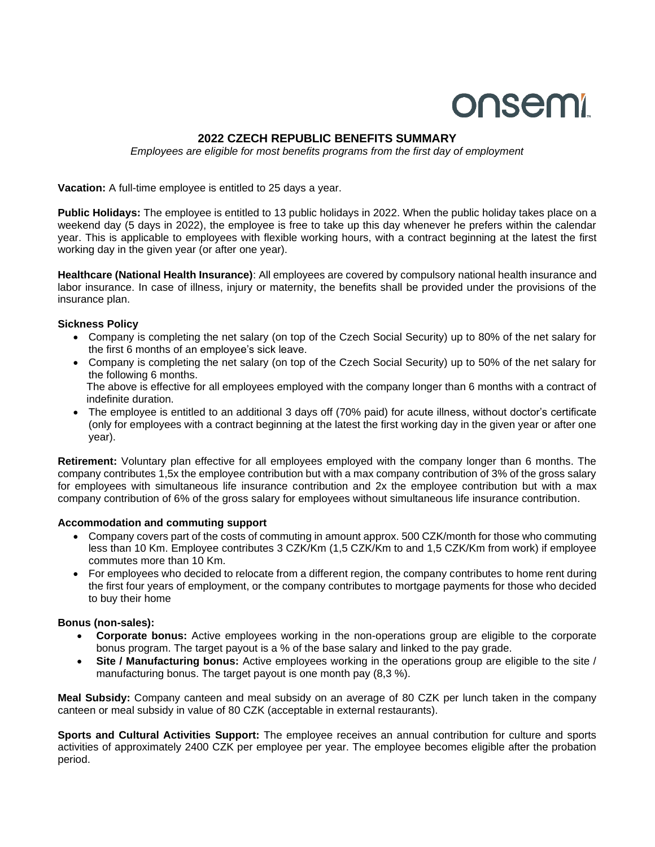# onsemi

## **2022 CZECH REPUBLIC BENEFITS SUMMARY**

*Employees are eligible for most benefits programs from the first day of employment*

**Vacation:** A full-time employee is entitled to 25 days a year.

**Public Holidays:** The employee is entitled to 13 public holidays in 2022. When the public holiday takes place on a weekend day (5 days in 2022), the employee is free to take up this day whenever he prefers within the calendar year. This is applicable to employees with flexible working hours, with a contract beginning at the latest the first working day in the given year (or after one year).

**Healthcare (National Health Insurance)**: All employees are covered by compulsory national health insurance and labor insurance. In case of illness, injury or maternity, the benefits shall be provided under the provisions of the insurance plan.

#### **Sickness Policy**

- Company is completing the net salary (on top of the Czech Social Security) up to 80% of the net salary for the first 6 months of an employee's sick leave.
- Company is completing the net salary (on top of the Czech Social Security) up to 50% of the net salary for the following 6 months. The above is effective for all employees employed with the company longer than 6 months with a contract of indefinite duration.
- The employee is entitled to an additional 3 days off (70% paid) for acute illness, without doctor's certificate (only for employees with a contract beginning at the latest the first working day in the given year or after one year).

**Retirement:** Voluntary plan effective for all employees employed with the company longer than 6 months. The company contributes 1,5x the employee contribution but with a max company contribution of 3% of the gross salary for employees with simultaneous life insurance contribution and 2x the employee contribution but with a max company contribution of 6% of the gross salary for employees without simultaneous life insurance contribution.

#### **Accommodation and commuting support**

- Company covers part of the costs of commuting in amount approx. 500 CZK/month for those who commuting less than 10 Km. Employee contributes 3 CZK/Km (1,5 CZK/Km to and 1,5 CZK/Km from work) if employee commutes more than 10 Km.
- For employees who decided to relocate from a different region, the company contributes to home rent during the first four years of employment, or the company contributes to mortgage payments for those who decided to buy their home

### **Bonus (non-sales):**

- **Corporate bonus:** Active employees working in the non-operations group are eligible to the corporate bonus program. The target payout is a % of the base salary and linked to the pay grade.
- **Site / Manufacturing bonus:** Active employees working in the operations group are eligible to the site / manufacturing bonus. The target payout is one month pay (8,3 %).

**Meal Subsidy:** Company canteen and meal subsidy on an average of 80 CZK per lunch taken in the company canteen or meal subsidy in value of 80 CZK (acceptable in external restaurants).

**Sports and Cultural Activities Support:** The employee receives an annual contribution for culture and sports activities of approximately 2400 CZK per employee per year. The employee becomes eligible after the probation period.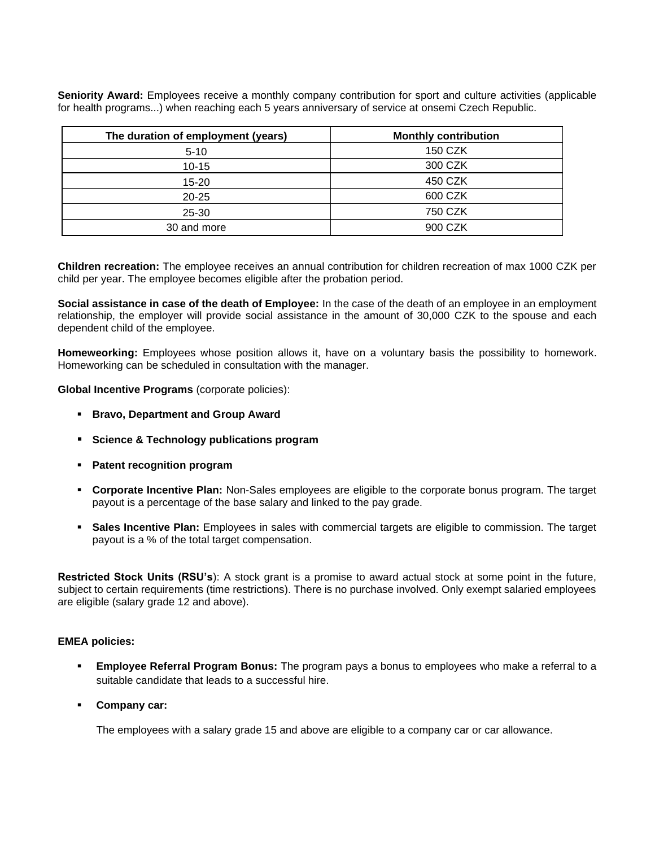**Seniority Award:** Employees receive a monthly company contribution for sport and culture activities (applicable for health programs...) when reaching each 5 years anniversary of service at onsemi Czech Republic.

| The duration of employment (years) | <b>Monthly contribution</b> |
|------------------------------------|-----------------------------|
| $5 - 10$                           | 150 CZK                     |
| $10 - 15$                          | 300 CZK                     |
| $15 - 20$                          | 450 CZK                     |
| $20 - 25$                          | 600 CZK                     |
| $25 - 30$                          | 750 CZK                     |
| 30 and more                        | 900 CZK                     |

**Children recreation:** The employee receives an annual contribution for children recreation of max 1000 CZK per child per year. The employee becomes eligible after the probation period.

**Social assistance in case of the death of Employee:** In the case of the death of an employee in an employment relationship, the employer will provide social assistance in the amount of 30,000 CZK to the spouse and each dependent child of the employee.

**Homeweorking:** Employees whose position allows it, have on a voluntary basis the possibility to homework. Homeworking can be scheduled in consultation with the manager.

**Global Incentive Programs** (corporate policies):

- **Bravo, Department and Group Award**
- **Science & Technology publications program**
- **Patent recognition program**
- **Corporate Incentive Plan:** Non-Sales employees are eligible to the corporate bonus program. The target payout is a percentage of the base salary and linked to the pay grade.
- **Sales Incentive Plan:** Employees in sales with commercial targets are eligible to commission. The target payout is a % of the total target compensation.

**Restricted Stock Units (RSU's**): A stock grant is a promise to award actual stock at some point in the future, subject to certain requirements (time restrictions). There is no purchase involved. Only exempt salaried employees are eligible (salary grade 12 and above).

#### **EMEA policies:**

- **Employee Referral Program Bonus:** The program pays a bonus to employees who make a referral to a suitable candidate that leads to a successful hire.
- **Company car:**

The employees with a salary grade 15 and above are eligible to a company car or car allowance.